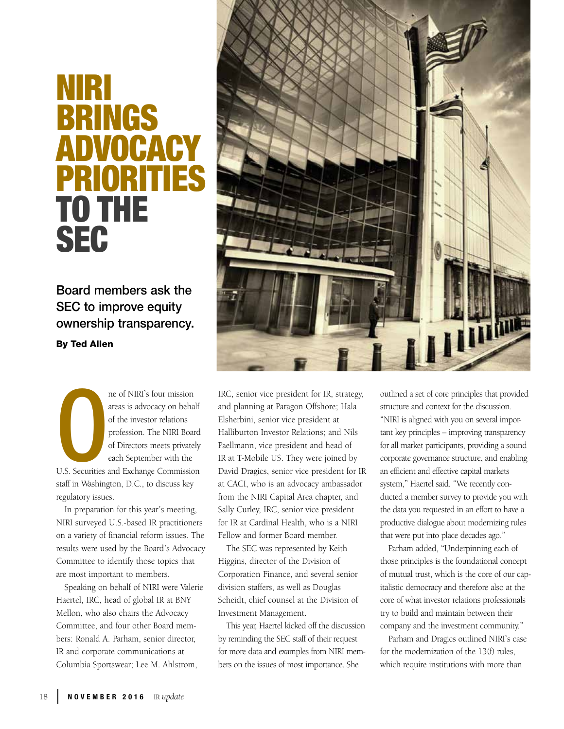## NIRI BRINGS ADVOC PRIORI TO THE **SEC**

Board members ask the SEC to improve equity ownership transparency. By Ted Allen

ne of NIRI's four mission<br>areas is advocacy on behalf<br>of the investor relations<br>profession. The NIRI Board<br>of Directors meets privately<br>each September with the<br>U.S. Securities and Exchange Commission ne of NIRI's four mission areas is advocacy on behalf of the investor relations profession. The NIRI Board of Directors meets privately each September with the

staff in Washington, D.C., to discuss key regulatory issues.

In preparation for this year's meeting, NIRI surveyed U.S.-based IR practitioners on a variety of financial reform issues. The results were used by the Board's Advocacy Committee to identify those topics that are most important to members.

Speaking on behalf of NIRI were Valerie Haertel, IRC, head of global IR at BNY Mellon, who also chairs the Advocacy Committee, and four other Board members: Ronald A. Parham, senior director, IR and corporate communications at Columbia Sportswear; Lee M. Ahlstrom,



IRC, senior vice president for IR, strategy, and planning at Paragon Offshore; Hala Elsherbini, senior vice president at Halliburton Investor Relations; and Nils Paellmann, vice president and head of IR at T-Mobile US. They were joined by David Dragics, senior vice president for IR at CACI, who is an advocacy ambassador from the NIRI Capital Area chapter, and Sally Curley, IRC, senior vice president for IR at Cardinal Health, who is a NIRI Fellow and former Board member.

The SEC was represented by Keith Higgins, director of the Division of Corporation Finance, and several senior division staffers, as well as Douglas Scheidt, chief counsel at the Division of Investment Management.

This year, Haertel kicked off the discussion by reminding the SEC staff of their request for more data and examples from NIRI members on the issues of most importance. She

outlined a set of core principles that provided structure and context for the discussion. "NIRI is aligned with you on several important key principles – improving transparency for all market participants, providing a sound corporate governance structure, and enabling an efficient and effective capital markets system," Haertel said. "We recently conducted a member survey to provide you with the data you requested in an effort to have a productive dialogue about modernizing rules that were put into place decades ago."

Parham added, "Underpinning each of those principles is the foundational concept of mutual trust, which is the core of our capitalistic democracy and therefore also at the core of what investor relations professionals try to build and maintain between their company and the investment community."

Parham and Dragics outlined NIRI's case for the modernization of the 13(f) rules, which require institutions with more than